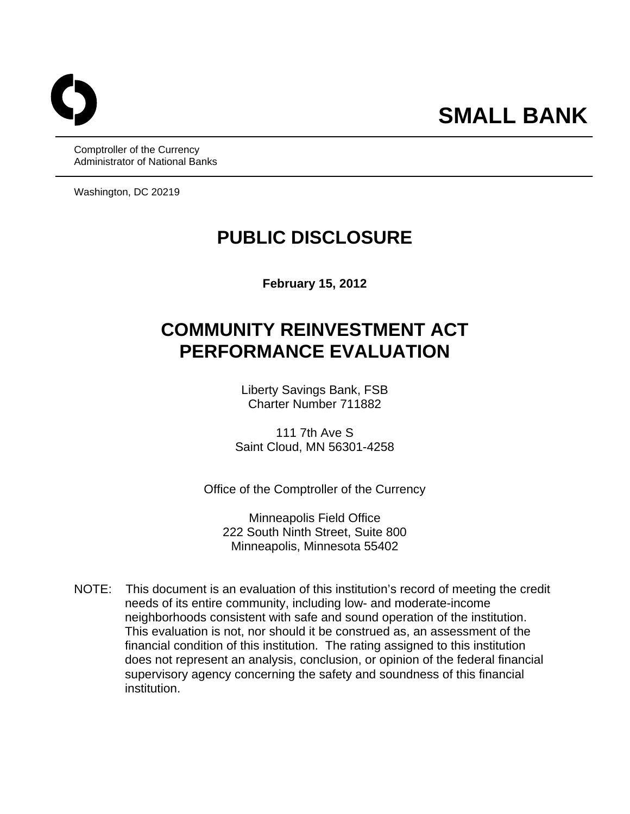Comptroller of the Currency Administrator of National Banks

Washington, DC 20219

## **PUBLIC DISCLOSURE**

**February 15, 2012** 

# **COMMUNITY REINVESTMENT ACT PERFORMANCE EVALUATION**

Liberty Savings Bank, FSB Charter Number 711882

111 7th Ave S Saint Cloud, MN 56301-4258

Office of the Comptroller of the Currency

Minneapolis Field Office 222 South Ninth Street, Suite 800 Minneapolis, Minnesota 55402

NOTE: This document is an evaluation of this institution's record of meeting the credit needs of its entire community, including low- and moderate-income neighborhoods consistent with safe and sound operation of the institution. This evaluation is not, nor should it be construed as, an assessment of the financial condition of this institution. The rating assigned to this institution does not represent an analysis, conclusion, or opinion of the federal financial supervisory agency concerning the safety and soundness of this financial institution.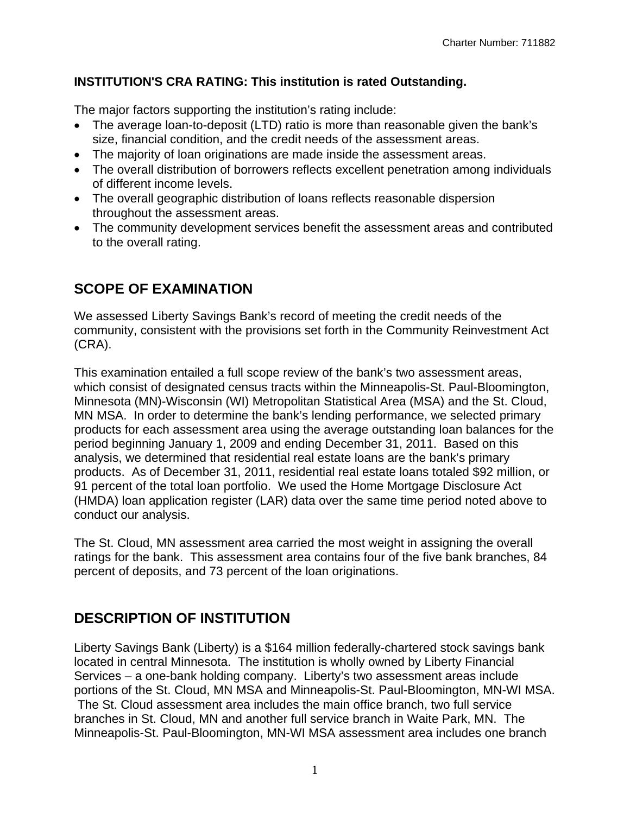#### **INSTITUTION'S CRA RATING: This institution is rated Outstanding.**

The major factors supporting the institution's rating include:

- The average loan-to-deposit (LTD) ratio is more than reasonable given the bank's size, financial condition, and the credit needs of the assessment areas.
- The majority of loan originations are made inside the assessment areas.
- The overall distribution of borrowers reflects excellent penetration among individuals of different income levels.
- The overall geographic distribution of loans reflects reasonable dispersion throughout the assessment areas.
- The community development services benefit the assessment areas and contributed to the overall rating.

### **SCOPE OF EXAMINATION**

We assessed Liberty Savings Bank's record of meeting the credit needs of the community, consistent with the provisions set forth in the Community Reinvestment Act (CRA).

This examination entailed a full scope review of the bank's two assessment areas, which consist of designated census tracts within the Minneapolis-St. Paul-Bloomington, Minnesota (MN)-Wisconsin (WI) Metropolitan Statistical Area (MSA) and the St. Cloud, MN MSA. In order to determine the bank's lending performance, we selected primary products for each assessment area using the average outstanding loan balances for the period beginning January 1, 2009 and ending December 31, 2011. Based on this analysis, we determined that residential real estate loans are the bank's primary products. As of December 31, 2011, residential real estate loans totaled \$92 million, or 91 percent of the total loan portfolio. We used the Home Mortgage Disclosure Act (HMDA) loan application register (LAR) data over the same time period noted above to conduct our analysis.

The St. Cloud, MN assessment area carried the most weight in assigning the overall ratings for the bank. This assessment area contains four of the five bank branches, 84 percent of deposits, and 73 percent of the loan originations.

### **DESCRIPTION OF INSTITUTION**

Liberty Savings Bank (Liberty) is a \$164 million federally-chartered stock savings bank located in central Minnesota. The institution is wholly owned by Liberty Financial Services – a one-bank holding company. Liberty's two assessment areas include portions of the St. Cloud, MN MSA and Minneapolis-St. Paul-Bloomington, MN-WI MSA. The St. Cloud assessment area includes the main office branch, two full service branches in St. Cloud, MN and another full service branch in Waite Park, MN. The Minneapolis-St. Paul-Bloomington, MN-WI MSA assessment area includes one branch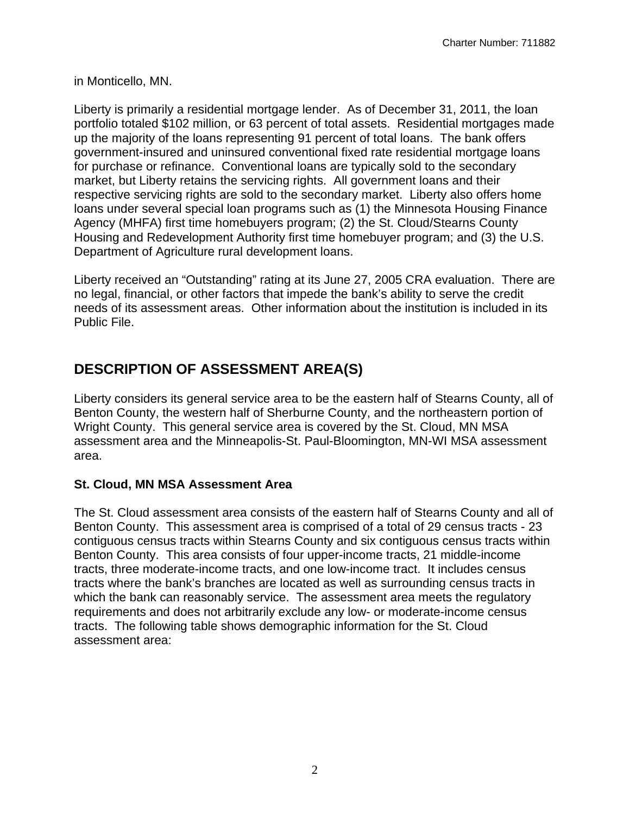in Monticello, MN.

Liberty is primarily a residential mortgage lender. As of December 31, 2011, the loan portfolio totaled \$102 million, or 63 percent of total assets. Residential mortgages made up the majority of the loans representing 91 percent of total loans. The bank offers government-insured and uninsured conventional fixed rate residential mortgage loans for purchase or refinance. Conventional loans are typically sold to the secondary market, but Liberty retains the servicing rights. All government loans and their respective servicing rights are sold to the secondary market. Liberty also offers home loans under several special loan programs such as (1) the Minnesota Housing Finance Agency (MHFA) first time homebuyers program; (2) the St. Cloud/Stearns County Housing and Redevelopment Authority first time homebuyer program; and (3) the U.S. Department of Agriculture rural development loans.

Liberty received an "Outstanding" rating at its June 27, 2005 CRA evaluation. There are no legal, financial, or other factors that impede the bank's ability to serve the credit needs of its assessment areas. Other information about the institution is included in its Public File.

### **DESCRIPTION OF ASSESSMENT AREA(S)**

Liberty considers its general service area to be the eastern half of Stearns County, all of Benton County, the western half of Sherburne County, and the northeastern portion of Wright County. This general service area is covered by the St. Cloud, MN MSA assessment area and the Minneapolis-St. Paul-Bloomington, MN-WI MSA assessment area.

#### **St. Cloud, MN MSA Assessment Area**

The St. Cloud assessment area consists of the eastern half of Stearns County and all of Benton County. This assessment area is comprised of a total of 29 census tracts - 23 contiguous census tracts within Stearns County and six contiguous census tracts within Benton County. This area consists of four upper-income tracts, 21 middle-income tracts, three moderate-income tracts, and one low-income tract. It includes census tracts where the bank's branches are located as well as surrounding census tracts in which the bank can reasonably service. The assessment area meets the regulatory requirements and does not arbitrarily exclude any low- or moderate-income census tracts. The following table shows demographic information for the St. Cloud assessment area: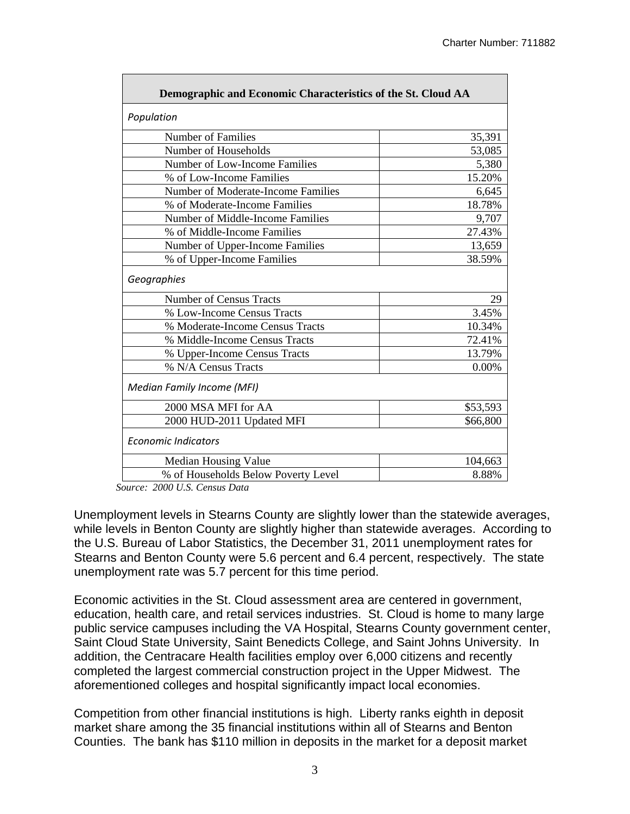| Demographic and Economic Characteristics of the St. Cloud AA |          |  |  |  |  |  |  |  |
|--------------------------------------------------------------|----------|--|--|--|--|--|--|--|
| Population                                                   |          |  |  |  |  |  |  |  |
| Number of Families                                           | 35,391   |  |  |  |  |  |  |  |
| Number of Households                                         | 53,085   |  |  |  |  |  |  |  |
| Number of Low-Income Families                                | 5,380    |  |  |  |  |  |  |  |
| % of Low-Income Families                                     | 15.20%   |  |  |  |  |  |  |  |
| Number of Moderate-Income Families                           | 6,645    |  |  |  |  |  |  |  |
| % of Moderate-Income Families                                | 18.78%   |  |  |  |  |  |  |  |
| Number of Middle-Income Families                             | 9,707    |  |  |  |  |  |  |  |
| % of Middle-Income Families                                  | 27.43%   |  |  |  |  |  |  |  |
| Number of Upper-Income Families                              | 13,659   |  |  |  |  |  |  |  |
| % of Upper-Income Families                                   | 38.59%   |  |  |  |  |  |  |  |
| Geographies                                                  |          |  |  |  |  |  |  |  |
| <b>Number of Census Tracts</b>                               | 29       |  |  |  |  |  |  |  |
| % Low-Income Census Tracts                                   | 3.45%    |  |  |  |  |  |  |  |
| % Moderate-Income Census Tracts                              | 10.34%   |  |  |  |  |  |  |  |
| % Middle-Income Census Tracts                                | 72.41%   |  |  |  |  |  |  |  |
| % Upper-Income Census Tracts                                 | 13.79%   |  |  |  |  |  |  |  |
| % N/A Census Tracts                                          | 0.00%    |  |  |  |  |  |  |  |
| <b>Median Family Income (MFI)</b>                            |          |  |  |  |  |  |  |  |
| 2000 MSA MFI for AA                                          | \$53,593 |  |  |  |  |  |  |  |
| 2000 HUD-2011 Updated MFI                                    | \$66,800 |  |  |  |  |  |  |  |
| <b>Economic Indicators</b>                                   |          |  |  |  |  |  |  |  |
| Median Housing Value                                         | 104,663  |  |  |  |  |  |  |  |
| % of Households Below Poverty Level                          | 8.88%    |  |  |  |  |  |  |  |

 *Source: 2000 U.S. Census Data* 

Unemployment levels in Stearns County are slightly lower than the statewide averages, while levels in Benton County are slightly higher than statewide averages. According to the U.S. Bureau of Labor Statistics, the December 31, 2011 unemployment rates for Stearns and Benton County were 5.6 percent and 6.4 percent, respectively. The state unemployment rate was 5.7 percent for this time period.

Economic activities in the St. Cloud assessment area are centered in government, education, health care, and retail services industries. St. Cloud is home to many large public service campuses including the VA Hospital, Stearns County government center, Saint Cloud State University, Saint Benedicts College, and Saint Johns University. In addition, the Centracare Health facilities employ over 6,000 citizens and recently completed the largest commercial construction project in the Upper Midwest. The aforementioned colleges and hospital significantly impact local economies.

Competition from other financial institutions is high. Liberty ranks eighth in deposit market share among the 35 financial institutions within all of Stearns and Benton Counties. The bank has \$110 million in deposits in the market for a deposit market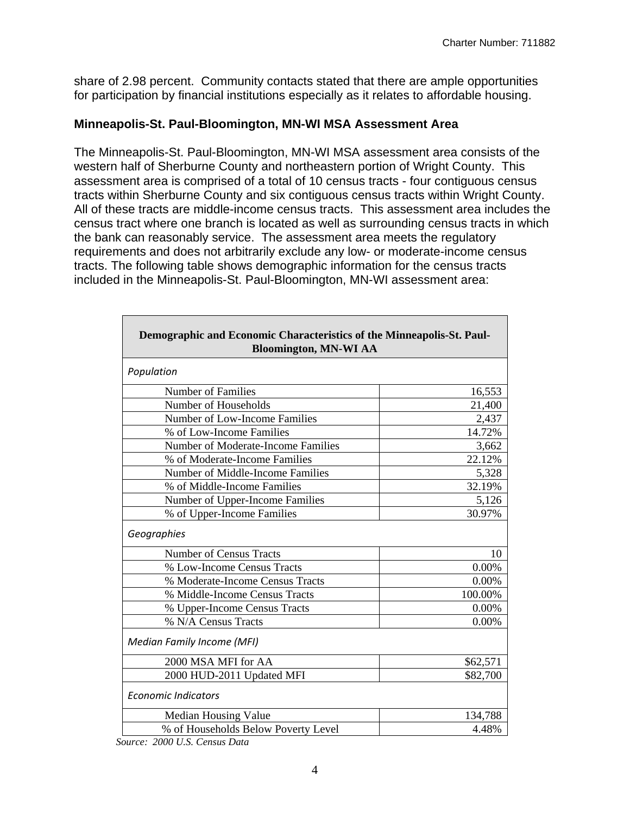share of 2.98 percent. Community contacts stated that there are ample opportunities for participation by financial institutions especially as it relates to affordable housing.

#### **Minneapolis-St. Paul-Bloomington, MN-WI MSA Assessment Area**

The Minneapolis-St. Paul-Bloomington, MN-WI MSA assessment area consists of the western half of Sherburne County and northeastern portion of Wright County. This assessment area is comprised of a total of 10 census tracts - four contiguous census tracts within Sherburne County and six contiguous census tracts within Wright County. All of these tracts are middle-income census tracts. This assessment area includes the census tract where one branch is located as well as surrounding census tracts in which the bank can reasonably service. The assessment area meets the regulatory requirements and does not arbitrarily exclude any low- or moderate-income census tracts. The following table shows demographic information for the census tracts included in the Minneapolis-St. Paul-Bloomington, MN-WI assessment area:

| Demographic and Economic Characteristics of the Minneapolis-St. Paul-<br><b>Bloomington, MN-WI AA</b> |          |  |  |  |  |  |  |  |
|-------------------------------------------------------------------------------------------------------|----------|--|--|--|--|--|--|--|
| Population                                                                                            |          |  |  |  |  |  |  |  |
| Number of Families                                                                                    | 16,553   |  |  |  |  |  |  |  |
| Number of Households                                                                                  | 21,400   |  |  |  |  |  |  |  |
| Number of Low-Income Families                                                                         | 2,437    |  |  |  |  |  |  |  |
| % of Low-Income Families                                                                              | 14.72%   |  |  |  |  |  |  |  |
| Number of Moderate-Income Families                                                                    | 3,662    |  |  |  |  |  |  |  |
| % of Moderate-Income Families                                                                         | 22.12%   |  |  |  |  |  |  |  |
| Number of Middle-Income Families                                                                      | 5,328    |  |  |  |  |  |  |  |
| % of Middle-Income Families                                                                           | 32.19%   |  |  |  |  |  |  |  |
| Number of Upper-Income Families                                                                       | 5,126    |  |  |  |  |  |  |  |
| % of Upper-Income Families                                                                            | 30.97%   |  |  |  |  |  |  |  |
| Geographies                                                                                           |          |  |  |  |  |  |  |  |
| <b>Number of Census Tracts</b>                                                                        | 10       |  |  |  |  |  |  |  |
| % Low-Income Census Tracts                                                                            | 0.00%    |  |  |  |  |  |  |  |
| % Moderate-Income Census Tracts                                                                       | 0.00%    |  |  |  |  |  |  |  |
| % Middle-Income Census Tracts                                                                         | 100.00%  |  |  |  |  |  |  |  |
| % Upper-Income Census Tracts                                                                          | 0.00%    |  |  |  |  |  |  |  |
| % N/A Census Tracts                                                                                   | 0.00%    |  |  |  |  |  |  |  |
| <b>Median Family Income (MFI)</b>                                                                     |          |  |  |  |  |  |  |  |
| 2000 MSA MFI for AA                                                                                   | \$62,571 |  |  |  |  |  |  |  |
| 2000 HUD-2011 Updated MFI                                                                             | \$82,700 |  |  |  |  |  |  |  |
| <b>Economic Indicators</b>                                                                            |          |  |  |  |  |  |  |  |
| Median Housing Value                                                                                  | 134,788  |  |  |  |  |  |  |  |
| % of Households Below Poverty Level                                                                   | 4.48%    |  |  |  |  |  |  |  |

 *Source: 2000 U.S. Census Data* 

Г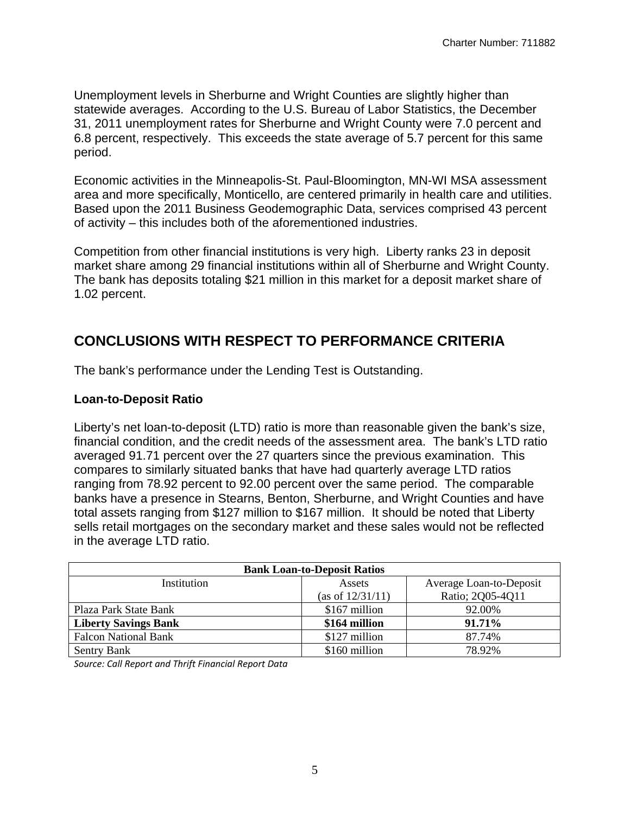Unemployment levels in Sherburne and Wright Counties are slightly higher than statewide averages. According to the U.S. Bureau of Labor Statistics, the December 31, 2011 unemployment rates for Sherburne and Wright County were 7.0 percent and 6.8 percent, respectively. This exceeds the state average of 5.7 percent for this same period.

Economic activities in the Minneapolis-St. Paul-Bloomington, MN-WI MSA assessment area and more specifically, Monticello, are centered primarily in health care and utilities. Based upon the 2011 Business Geodemographic Data, services comprised 43 percent of activity – this includes both of the aforementioned industries.

Competition from other financial institutions is very high. Liberty ranks 23 in deposit market share among 29 financial institutions within all of Sherburne and Wright County. The bank has deposits totaling \$21 million in this market for a deposit market share of 1.02 percent.

### **CONCLUSIONS WITH RESPECT TO PERFORMANCE CRITERIA**

The bank's performance under the Lending Test is Outstanding.

#### **Loan-to-Deposit Ratio**

Liberty's net loan-to-deposit (LTD) ratio is more than reasonable given the bank's size, financial condition, and the credit needs of the assessment area. The bank's LTD ratio averaged 91.71 percent over the 27 quarters since the previous examination. This compares to similarly situated banks that have had quarterly average LTD ratios ranging from 78.92 percent to 92.00 percent over the same period. The comparable banks have a presence in Stearns, Benton, Sherburne, and Wright Counties and have total assets ranging from \$127 million to \$167 million. It should be noted that Liberty sells retail mortgages on the secondary market and these sales would not be reflected in the average LTD ratio.

| <b>Bank Loan-to-Deposit Ratios</b> |                  |                         |  |  |  |  |  |  |  |  |
|------------------------------------|------------------|-------------------------|--|--|--|--|--|--|--|--|
| Institution                        | Assets           | Average Loan-to-Deposit |  |  |  |  |  |  |  |  |
|                                    | (as of 12/31/11) | Ratio; 2Q05-4Q11        |  |  |  |  |  |  |  |  |
| Plaza Park State Bank              | \$167 million    | 92.00%                  |  |  |  |  |  |  |  |  |
| <b>Liberty Savings Bank</b>        | \$164 million    | 91.71%                  |  |  |  |  |  |  |  |  |
| <b>Falcon National Bank</b>        | \$127 million    | 87.74%                  |  |  |  |  |  |  |  |  |
| <b>Sentry Bank</b>                 | \$160 million    | 78.92%                  |  |  |  |  |  |  |  |  |

 *Source: Call Report and Thrift Financial Report Data*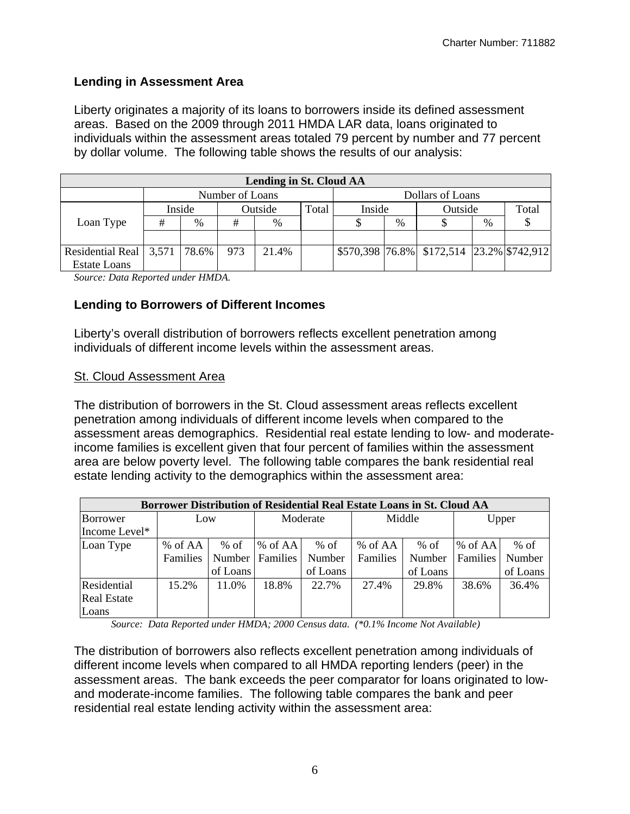#### **Lending in Assessment Area**

Liberty originates a majority of its loans to borrowers inside its defined assessment areas. Based on the 2009 through 2011 HMDA LAR data, loans originated to individuals within the assessment areas totaled 79 percent by number and 77 percent by dollar volume. The following table shows the results of our analysis:

| Lending in St. Cloud AA          |   |        |                 |       |  |        |                  |                                                 |               |       |  |  |
|----------------------------------|---|--------|-----------------|-------|--|--------|------------------|-------------------------------------------------|---------------|-------|--|--|
|                                  |   |        | Number of Loans |       |  |        | Dollars of Loans |                                                 |               |       |  |  |
|                                  |   | Inside | Outside         |       |  | Inside |                  | Outside                                         |               | Total |  |  |
| Loan Type                        | # | %      | #               | $\%$  |  |        | %                |                                                 | $\frac{0}{0}$ |       |  |  |
|                                  |   |        |                 |       |  |        |                  |                                                 |               |       |  |  |
| Residential Real   3,571   78.6% |   |        | 973             | 21.4% |  |        |                  | $$570,398$  76.8%   \$172,514  23.2%  \$742,912 |               |       |  |  |
| <b>Estate Loans</b>              |   |        |                 |       |  |        |                  |                                                 |               |       |  |  |

*Source: Data Reported under HMDA.* 

#### **Lending to Borrowers of Different Incomes**

Liberty's overall distribution of borrowers reflects excellent penetration among individuals of different income levels within the assessment areas.

#### **St. Cloud Assessment Area**

The distribution of borrowers in the St. Cloud assessment areas reflects excellent penetration among individuals of different income levels when compared to the assessment areas demographics. Residential real estate lending to low- and moderateincome families is excellent given that four percent of families within the assessment area are below poverty level. The following table compares the bank residential real estate lending activity to the demographics within the assessment area:

|                    | <b>Borrower Distribution of Residential Real Estate Loans in St. Cloud AA</b> |          |            |          |          |          |          |          |  |  |  |  |  |
|--------------------|-------------------------------------------------------------------------------|----------|------------|----------|----------|----------|----------|----------|--|--|--|--|--|
| Borrower           | Low                                                                           |          | Moderate   |          | Middle   |          | Upper    |          |  |  |  |  |  |
| Income Level*      |                                                                               |          |            |          |          |          |          |          |  |  |  |  |  |
| Loan Type          | % of AA                                                                       | $%$ of   | $\%$ of AA | $%$ of   | % of AA  | % of     | % of AA  | % of     |  |  |  |  |  |
|                    | Families                                                                      | Number   | Families   | Number   | Families | Number   | Families | Number   |  |  |  |  |  |
|                    |                                                                               | of Loans |            | of Loans |          | of Loans |          | of Loans |  |  |  |  |  |
| Residential        | 15.2%                                                                         | 11.0%    | 18.8%      | 22.7%    | 27.4%    | 29.8%    | 38.6%    | 36.4%    |  |  |  |  |  |
| <b>Real Estate</b> |                                                                               |          |            |          |          |          |          |          |  |  |  |  |  |
| Loans              |                                                                               |          |            |          |          |          |          |          |  |  |  |  |  |

*Source: Data Reported under HMDA; 2000 Census data. (\*0.1% Income Not Available)* 

The distribution of borrowers also reflects excellent penetration among individuals of different income levels when compared to all HMDA reporting lenders (peer) in the assessment areas. The bank exceeds the peer comparator for loans originated to lowand moderate-income families. The following table compares the bank and peer residential real estate lending activity within the assessment area: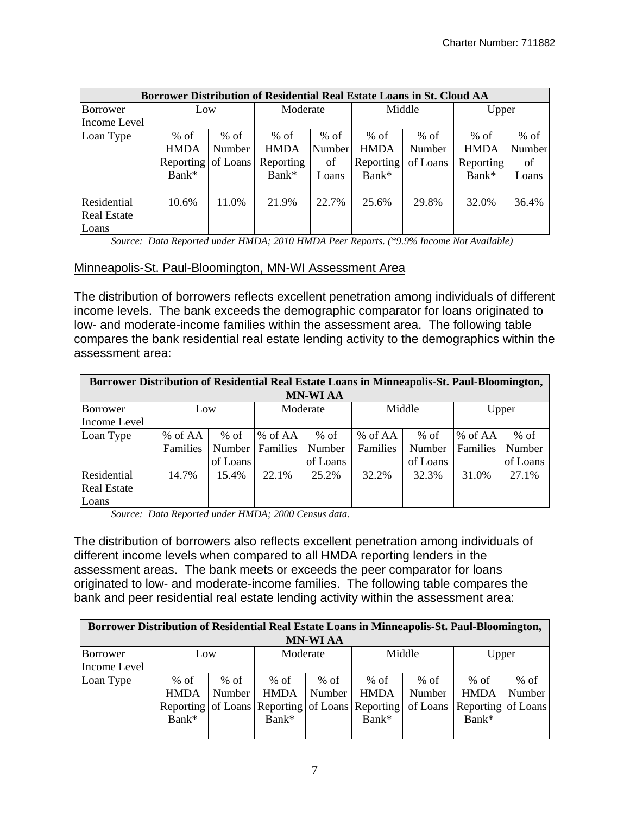|                    | <b>Borrower Distribution of Residential Real Estate Loans in St. Cloud AA</b> |        |             |        |             |          |             |        |  |  |  |  |  |
|--------------------|-------------------------------------------------------------------------------|--------|-------------|--------|-------------|----------|-------------|--------|--|--|--|--|--|
| Borrower           | Low                                                                           |        | Moderate    |        | Middle      |          | Upper       |        |  |  |  |  |  |
| Income Level       |                                                                               |        |             |        |             |          |             |        |  |  |  |  |  |
| Loan Type          | $%$ of                                                                        | $%$ of | $%$ of      | $%$ of | $%$ of      | $%$ of   | $%$ of      | $%$ of |  |  |  |  |  |
|                    | <b>HMDA</b>                                                                   | Number | <b>HMDA</b> | Number | <b>HMDA</b> | Number   | <b>HMDA</b> | Number |  |  |  |  |  |
|                    | Reporting of Loans                                                            |        | Reporting   | of     | Reporting   | of Loans | Reporting   | of     |  |  |  |  |  |
|                    | Bank*                                                                         |        | Bank*       | Loans  | Bank*       |          | Bank*       | Loans  |  |  |  |  |  |
|                    |                                                                               |        |             |        |             |          |             |        |  |  |  |  |  |
| Residential        | 10.6%                                                                         | 11.0%  | 21.9%       | 22.7%  | 25.6%       | 29.8%    | 32.0%       | 36.4%  |  |  |  |  |  |
| <b>Real Estate</b> |                                                                               |        |             |        |             |          |             |        |  |  |  |  |  |
| Loans              |                                                                               |        |             |        |             |          |             |        |  |  |  |  |  |

*Source: Data Reported under HMDA; 2010 HMDA Peer Reports. (\*9.9% Income Not Available)* 

#### Minneapolis-St. Paul-Bloomington, MN-WI Assessment Area

The distribution of borrowers reflects excellent penetration among individuals of different income levels. The bank exceeds the demographic comparator for loans originated to low- and moderate-income families within the assessment area. The following table compares the bank residential real estate lending activity to the demographics within the assessment area:

|                    | Borrower Distribution of Residential Real Estate Loans in Minneapolis-St. Paul-Bloomington, |          |          |          |          |          |                 |          |  |  |  |  |
|--------------------|---------------------------------------------------------------------------------------------|----------|----------|----------|----------|----------|-----------------|----------|--|--|--|--|
| <b>MN-WI AA</b>    |                                                                                             |          |          |          |          |          |                 |          |  |  |  |  |
| Borrower           | Low                                                                                         |          |          | Moderate | Middle   |          |                 | Upper    |  |  |  |  |
| Income Level       |                                                                                             |          |          |          |          |          |                 |          |  |  |  |  |
| Loan Type          | % of AA                                                                                     | $%$ of   | % of AA  | $%$ of   | % of AA  | $%$ of   | $%$ of AA       | $%$ of   |  |  |  |  |
|                    | Families                                                                                    | Number   | Families | Number   | Families | Number   | <b>Families</b> | Number   |  |  |  |  |
|                    |                                                                                             | of Loans |          | of Loans |          | of Loans |                 | of Loans |  |  |  |  |
| Residential        | 14.7%                                                                                       | 15.4%    | 22.1%    | 25.2%    | 32.2%    | 32.3%    | 31.0%           | 27.1%    |  |  |  |  |
| <b>Real Estate</b> |                                                                                             |          |          |          |          |          |                 |          |  |  |  |  |
| Loans              |                                                                                             |          |          |          |          |          |                 |          |  |  |  |  |

*Source: Data Reported under HMDA; 2000 Census data.* 

The distribution of borrowers also reflects excellent penetration among individuals of different income levels when compared to all HMDA reporting lenders in the assessment areas. The bank meets or exceeds the peer comparator for loans originated to low- and moderate-income families. The following table compares the bank and peer residential real estate lending activity within the assessment area:

|                 | Borrower Distribution of Residential Real Estate Loans in Minneapolis-St. Paul-Bloomington, |          |             |        |                                                 |          |                    |        |  |  |  |  |  |
|-----------------|---------------------------------------------------------------------------------------------|----------|-------------|--------|-------------------------------------------------|----------|--------------------|--------|--|--|--|--|--|
| <b>MN-WI AA</b> |                                                                                             |          |             |        |                                                 |          |                    |        |  |  |  |  |  |
| Borrower        | Low                                                                                         | Moderate |             |        | Middle                                          | Upper    |                    |        |  |  |  |  |  |
| Income Level    |                                                                                             |          |             |        |                                                 |          |                    |        |  |  |  |  |  |
| Loan Type       | $%$ of                                                                                      | $%$ of   | $%$ of      | $%$ of | % of                                            | % of     | $%$ of             | $%$ of |  |  |  |  |  |
|                 | <b>HMDA</b>                                                                                 | Number   | <b>HMDA</b> | Number | <b>HMDA</b>                                     | Number   | <b>HMDA</b>        | Number |  |  |  |  |  |
|                 |                                                                                             |          |             |        | Reporting of Loans Reporting of Loans Reporting | of Loans | Reporting of Loans |        |  |  |  |  |  |
|                 | Bank*                                                                                       |          | Bank*       |        | Bank*                                           |          | Bank*              |        |  |  |  |  |  |
|                 |                                                                                             |          |             |        |                                                 |          |                    |        |  |  |  |  |  |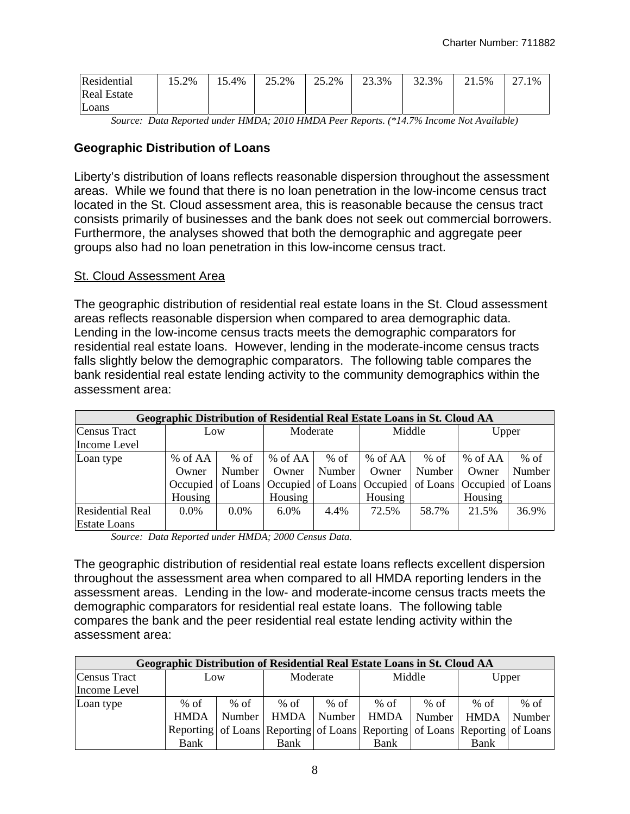| Residential        | 15.2% | 15.4% | 25.2% | 25.2% | 23.3% | 32.3% | 21.5% | דר<br>27.1% |
|--------------------|-------|-------|-------|-------|-------|-------|-------|-------------|
| <b>Real Estate</b> |       |       |       |       |       |       |       |             |
| Loans              |       |       |       |       |       |       |       |             |

*Source: Data Reported under HMDA; 2010 HMDA Peer Reports. (\*14.7% Income Not Available)* 

#### **Geographic Distribution of Loans**

Liberty's distribution of loans reflects reasonable dispersion throughout the assessment areas. While we found that there is no loan penetration in the low-income census tract located in the St. Cloud assessment area, this is reasonable because the census tract consists primarily of businesses and the bank does not seek out commercial borrowers. Furthermore, the analyses showed that both the demographic and aggregate peer groups also had no loan penetration in this low-income census tract.

#### St. Cloud Assessment Area

The geographic distribution of residential real estate loans in the St. Cloud assessment areas reflects reasonable dispersion when compared to area demographic data. Lending in the low-income census tracts meets the demographic comparators for residential real estate loans. However, lending in the moderate-income census tracts falls slightly below the demographic comparators. The following table compares the bank residential real estate lending activity to the community demographics within the assessment area:

|                         | Geographic Distribution of Residential Real Estate Loans in St. Cloud AA |         |          |        |                                                                            |        |         |        |  |  |  |  |  |
|-------------------------|--------------------------------------------------------------------------|---------|----------|--------|----------------------------------------------------------------------------|--------|---------|--------|--|--|--|--|--|
| Census Tract            | Low                                                                      |         | Moderate |        | Middle                                                                     |        | Upper   |        |  |  |  |  |  |
| Income Level            |                                                                          |         |          |        |                                                                            |        |         |        |  |  |  |  |  |
| Loan type               | % of AA                                                                  | $%$ of  | % of AA  | $%$ of | % of AA                                                                    | $%$ of | % of AA | $%$ of |  |  |  |  |  |
|                         | Owner                                                                    | Number  | Owner    | Number | Owner                                                                      | Number | Owner   | Number |  |  |  |  |  |
|                         | Occupied                                                                 |         |          |        | of Loans   Occupied   of Loans   Occupied   of Loans   Occupied   of Loans |        |         |        |  |  |  |  |  |
|                         | Housing                                                                  |         | Housing  |        | Housing                                                                    |        | Housing |        |  |  |  |  |  |
| <b>Residential Real</b> | $0.0\%$                                                                  | $0.0\%$ | $6.0\%$  | 4.4%   | 72.5%                                                                      | 58.7%  | 21.5%   | 36.9%  |  |  |  |  |  |
| <b>Estate Loans</b>     |                                                                          |         |          |        |                                                                            |        |         |        |  |  |  |  |  |

*Source: Data Reported under HMDA; 2000 Census Data.* 

The geographic distribution of residential real estate loans reflects excellent dispersion throughout the assessment area when compared to all HMDA reporting lenders in the assessment areas. Lending in the low- and moderate-income census tracts meets the demographic comparators for residential real estate loans. The following table compares the bank and the peer residential real estate lending activity within the assessment area:

| Geographic Distribution of Residential Real Estate Loans in St. Cloud AA |             |        |             |        |                                                                             |        |             |        |  |  |  |
|--------------------------------------------------------------------------|-------------|--------|-------------|--------|-----------------------------------------------------------------------------|--------|-------------|--------|--|--|--|
| <b>Census Tract</b>                                                      | Low         |        | Moderate    |        | Middle                                                                      |        | Upper       |        |  |  |  |
| Income Level                                                             |             |        |             |        |                                                                             |        |             |        |  |  |  |
| Loan type                                                                | $%$ of      | $%$ of | $%$ of      | $%$ of | $%$ of                                                                      | % of   | $%$ of      | $%$ of |  |  |  |
|                                                                          | <b>HMDA</b> | Number | <b>HMDA</b> | Number | <b>HMDA</b>                                                                 | Number | <b>HMDA</b> | Number |  |  |  |
|                                                                          |             |        |             |        | Reporting of Loans Reporting of Loans Reporting of Loans Reporting of Loans |        |             |        |  |  |  |
|                                                                          | Bank        |        | Bank        |        | Bank                                                                        |        | Bank        |        |  |  |  |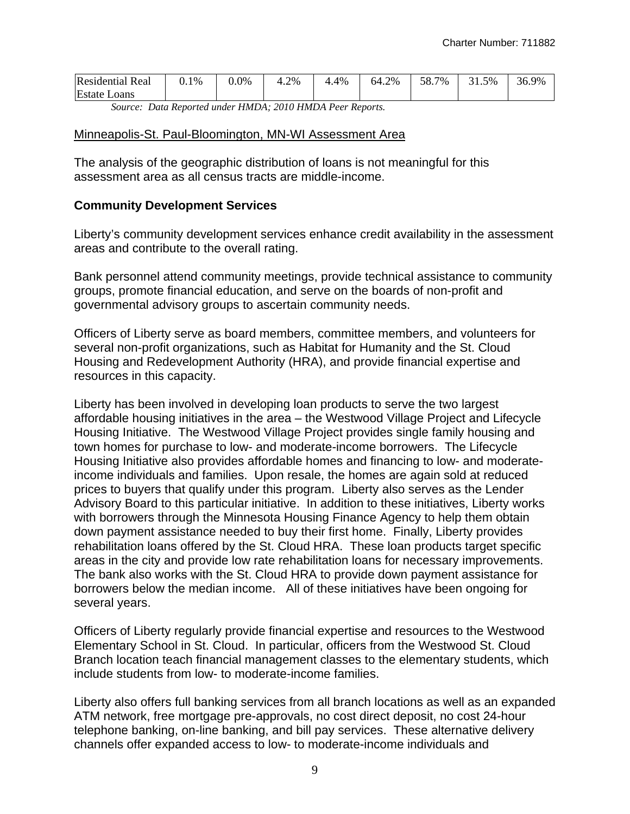| <b>Residential Real</b> | 0.1% | $0.0\%$ | 4.2% | 4%<br>4 | 64.2% | 58.7<br>7% | 5%<br>ົາ 1<br>٠ı<br><u>.</u> | 36.9% |
|-------------------------|------|---------|------|---------|-------|------------|------------------------------|-------|
| <b>Estate Loans</b>     |      |         |      |         |       |            |                              |       |

*Source: Data Reported under HMDA; 2010 HMDA Peer Reports.* 

#### Minneapolis-St. Paul-Bloomington, MN-WI Assessment Area

The analysis of the geographic distribution of loans is not meaningful for this assessment area as all census tracts are middle-income.

#### **Community Development Services**

Liberty's community development services enhance credit availability in the assessment areas and contribute to the overall rating.

Bank personnel attend community meetings, provide technical assistance to community groups, promote financial education, and serve on the boards of non-profit and governmental advisory groups to ascertain community needs.

Officers of Liberty serve as board members, committee members, and volunteers for several non-profit organizations, such as Habitat for Humanity and the St. Cloud Housing and Redevelopment Authority (HRA), and provide financial expertise and resources in this capacity.

Liberty has been involved in developing loan products to serve the two largest affordable housing initiatives in the area – the Westwood Village Project and Lifecycle Housing Initiative. The Westwood Village Project provides single family housing and town homes for purchase to low- and moderate-income borrowers. The Lifecycle Housing Initiative also provides affordable homes and financing to low- and moderateincome individuals and families. Upon resale, the homes are again sold at reduced prices to buyers that qualify under this program. Liberty also serves as the Lender Advisory Board to this particular initiative. In addition to these initiatives, Liberty works with borrowers through the Minnesota Housing Finance Agency to help them obtain down payment assistance needed to buy their first home. Finally, Liberty provides rehabilitation loans offered by the St. Cloud HRA. These loan products target specific areas in the city and provide low rate rehabilitation loans for necessary improvements. The bank also works with the St. Cloud HRA to provide down payment assistance for borrowers below the median income. All of these initiatives have been ongoing for several years.

Officers of Liberty regularly provide financial expertise and resources to the Westwood Elementary School in St. Cloud. In particular, officers from the Westwood St. Cloud Branch location teach financial management classes to the elementary students, which include students from low- to moderate-income families.

Liberty also offers full banking services from all branch locations as well as an expanded ATM network, free mortgage pre-approvals, no cost direct deposit, no cost 24-hour telephone banking, on-line banking, and bill pay services. These alternative delivery channels offer expanded access to low- to moderate-income individuals and